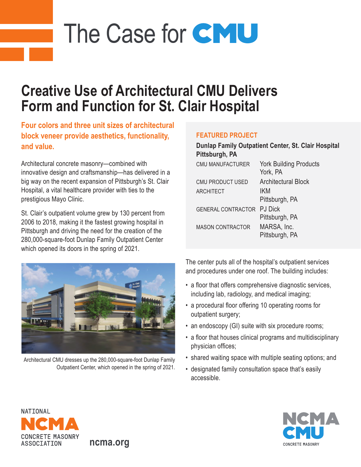# The Case for CMU

## **Creative Use of Architectural CMU Delivers Form and Function for St. Clair Hospital**

**Four colors and three unit sizes of architectural block veneer provide aesthetics, functionality, and value.**

Architectural concrete masonry—combined with innovative design and craftsmanship—has delivered in a big way on the recent expansion of Pittsburgh's St. Clair Hospital, a vital healthcare provider with ties to the prestigious Mayo Clinic.

St. Clair's outpatient volume grew by 130 percent from 2006 to 2018, making it the fastest growing hospital in Pittsburgh and driving the need for the creation of the 280,000-square-foot Dunlap Family Outpatient Center which opened its doors in the spring of 2021.



Architectural CMU dresses up the 280,000-square-foot Dunlap Family Outpatient Center, which opened in the spring of 2021.

**ncma.org**

#### **FEATURED PROJECT**

| Dunlap Family Outpatient Center, St. Clair Hospital<br>Pittsburgh, PA |                                           |
|-----------------------------------------------------------------------|-------------------------------------------|
| <b>CMU MANUFACTURER</b>                                               | <b>York Building Products</b><br>York, PA |
| CMU PRODUCT USED                                                      | <b>Architectural Block</b>                |
| <b>ARCHITECT</b>                                                      | IKM                                       |
|                                                                       | Pittsburgh, PA                            |
| <b>GENERAL CONTRACTOR</b>                                             | <b>PJ</b> Dick                            |
|                                                                       | Pittsburgh, PA                            |
| <b>MASON CONTRACTOR</b>                                               | MARSA, Inc.<br>Pittsburgh, PA             |

The center puts all of the hospital's outpatient services and procedures under one roof. The building includes:

- a floor that offers comprehensive diagnostic services, including lab, radiology, and medical imaging;
- a procedural floor offering 10 operating rooms for outpatient surgery;
- an endoscopy (GI) suite with six procedure rooms;
- a floor that houses clinical programs and multidisciplinary physician offices;
- shared waiting space with multiple seating options; and
- designated family consultation space that's easily accessible.